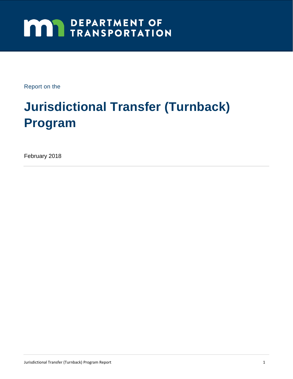# **MAY DEPARTMENT OF TRANSPORTATION**

Report on the

# **Jurisdictional Transfer (Turnback) Program**

February 2018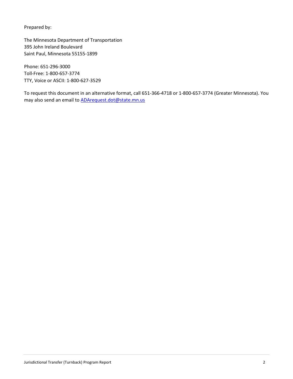Prepared by:

The Minnesota Department of Transportation 395 John Ireland Boulevard Saint Paul, Minnesota 55155-1899

Phone: 651-296-3000 Toll-Free: 1-800-657-3774 TTY, Voice or ASCII: 1-800-627-3529

To request this document in an alternative format, call 651-366-4718 or 1-800-657-3774 (Greater Minnesota). You may also send an email to **ADArequest.dot@state.mn.us**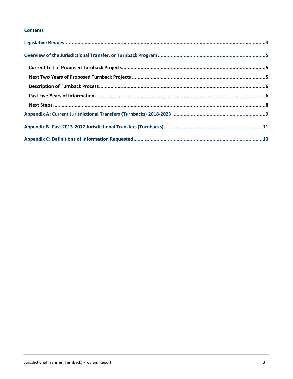#### **Contents**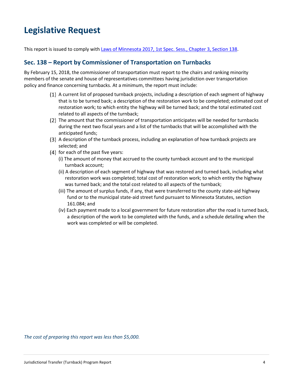# **Legislative Request**

This report is issued to comply with [Laws of Minnesota 2017, 1st Spec. Sess., Chapter 3, Section 138.](https://www.revisor.mn.gov/laws/?year=2017&type=1&doctype=Chapter&id=3)

#### **Sec. 138 – Report by Commissioner of Transportation on Turnbacks**

By February 15, 2018, the commissioner of transportation must report to the chairs and ranking minority members of the senate and house of representatives committees having jurisdiction over transportation policy and finance concerning turnbacks. At a minimum, the report must include:

- A current list of proposed turnback projects, including a description of each segment of highway that is to be turned back; a description of the restoration work to be completed; estimated cost of restoration work; to which entity the highway will be turned back; and the total estimated cost related to all aspects of the turnback;
- The amount that the commissioner of transportation anticipates will be needed for turnbacks during the next two fiscal years and a list of the turnbacks that will be accomplished with the anticipated funds;
- A description of the turnback process, including an explanation of how turnback projects are selected; and
- $(4)$  for each of the past five years:
	- (i) The amount of money that accrued to the county turnback account and to the municipal turnback account;
	- (ii) A description of each segment of highway that was restored and turned back, including what restoration work was completed; total cost of restoration work; to which entity the highway was turned back; and the total cost related to all aspects of the turnback;
	- (iii) The amount of surplus funds, if any, that were transferred to the county state-aid highway fund or to the municipal state-aid street fund pursuant to Minnesota Statutes, section 161.084; and
	- (iv) Each payment made to a local government for future restoration after the road is turned back, a description of the work to be completed with the funds, and a schedule detailing when the work was completed or will be completed.

*The cost of preparing this report was less than \$5,000.*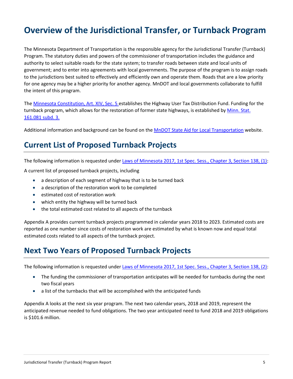# **Overview of the Jurisdictional Transfer, or Turnback Program**

The Minnesota Department of Transportation is the responsible agency for the Jurisdictional Transfer (Turnback) Program. The statutory duties and powers of the commissioner of transportation includes the guidance and authority to select suitable roads for the state system; to transfer roads between state and local units of government; and to enter into agreements with local governments. The purpose of the program is to assign roads to the jurisdictions best suited to effectively and efficiently own and operate them. Roads that are a low priority for one agency may be a higher priority for another agency. MnDOT and local governments collaborate to fulfill the intent of this program.

Th[e Minnesota Constitution, Art. XIV, Sec. 5](https://www.revisor.mn.gov/constitution/#article_14) establishes the Highway User Tax Distribution Fund. Funding for the turnback program, which allows for the restoration of former state highways, is established by Minn. Stat. [161.081 subd. 3.](https://www.revisor.mn.gov/statutes/?id=161.081) 

Additional information and background can be found on th[e MnDOT State Aid for Local Transportation](http://www.dot.state.mn.us/stateaid/admin/info/turnback.pdf) website.

#### **Current List of Proposed Turnback Projects**

The following information is requested unde[r Laws of Minnesota 2017, 1st Spec. Sess., Chapter 3, Section 138, \(1\):](https://www.revisor.mn.gov/laws/?year=2017&type=1&doctype=Chapter&id=3)

A current list of proposed turnback projects, including

- a description of each segment of highway that is to be turned back
- a description of the restoration work to be completed
- estimated cost of restoration work
- which entity the highway will be turned back
- the total estimated cost related to all aspects of the turnback

Appendix A provides current turnback projects programmed in calendar years 2018 to 2023. Estimated costs are reported as one number since costs of restoration work are estimated by what is known now and equal total estimated costs related to all aspects of the turnback project.

#### **Next Two Years of Proposed Turnback Projects**

The following information is requested unde[r Laws of Minnesota 2017, 1st Spec. Sess., Chapter 3, Section 138, \(2\):](https://www.revisor.mn.gov/laws/?year=2017&type=1&doctype=Chapter&id=3)

- The funding the commissioner of transportation anticipates will be needed for turnbacks during the next two fiscal years
- a list of the turnbacks that will be accomplished with the anticipated funds

Appendix A looks at the next six year program. The next two calendar years, 2018 and 2019, represent the anticipated revenue needed to fund obligations. The two year anticipated need to fund 2018 and 2019 obligations is \$101.6 million.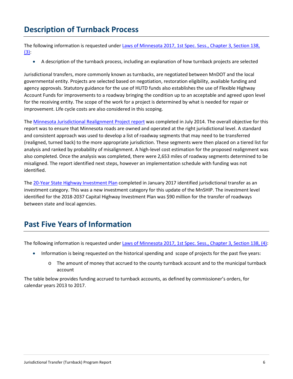#### **Description of Turnback Process**

The following information is requested unde[r Laws of Minnesota 2017, 1st Spec. Sess., Chapter 3, Section 138,](https://www.revisor.mn.gov/laws/?year=2017&type=1&doctype=Chapter&id=3)   $(3)$ 

• A description of the turnback process, including an explanation of how turnback projects are selected

Jurisdictional transfers, more commonly known as turnbacks, are negotiated between MnDOT and the local governmental entity. Projects are selected based on negotiation, restoration eligibility, available funding and agency approvals. Statutory guidance for the use of HUTD funds also establishes the use of Flexible Highway Account Funds for improvements to a roadway bringing the condition up to an acceptable and agreed upon level for the receiving entity. The scope of the work for a project is determined by what is needed for repair or improvement. Life cycle costs are also considered in this scoping.

The [Minnesota Jurisdictional Realignment Project report](http://mndot.org/stateaid/programlibrary/jrp-final-report.pdf) was completed in July 2014. The overall objective for this report was to ensure that Minnesota roads are owned and operated at the right jurisdictional level. A standard and consistent approach was used to develop a list of roadway segments that may need to be transferred (realigned, turned back) to the more appropriate jurisdiction. These segments were then placed on a tiered list for analysis and ranked by probability of misalignment. A high-level cost estimation for the proposed realignment was also completed. Once the analysis was completed, there were 2,653 miles of roadway segments determined to be misaligned. The report identified next steps, however an implementation schedule with funding was not identified.

Th[e 20-Year State Highway Investment Plan](http://www.minnesotago.org/final-plans/mnship-final-plan/summary) completed in January 2017 identified jurisdictional transfer as an investment category. This was a new investment category for this update of the MnSHIP. The investment level identified for the 2018-2037 Capital Highway Investment Plan was \$90 million for the transfer of roadways between state and local agencies.

#### **Past Five Years of Information**

The following information is requested unde[r Laws of Minnesota 2017, 1st Spec. Sess., Chapter 3, Section 138, \(4\):](https://www.revisor.mn.gov/laws/?year=2017&type=1&doctype=Chapter&id=3)

- Information is being requested on the historical spending and scope of projects for the past five years:
	- o The amount of money that accrued to the county turnback account and to the municipal turnback account

The table below provides funding accrued to turnback accounts, as defined by commissioner's orders, for calendar years 2013 to 2017.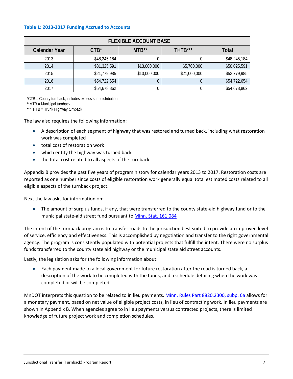#### **Table 1: 2013-2017 Funding Accrued to Accounts**

|                      |                  | <b>FLEXIBLE ACCOUNT BASE</b> |              |              |
|----------------------|------------------|------------------------------|--------------|--------------|
| <b>Calendar Year</b> | CTB <sup>*</sup> | $MTB**$                      | THTB***      | <b>Total</b> |
| 2013                 | \$48,245,184     | U                            |              | \$48,245,184 |
| 2014                 | \$31,325,591     | \$13,000,000                 | \$5,700,000  | \$50,025,591 |
| 2015                 | \$21,779,985     | \$10,000,000                 | \$21,000,000 | \$52,779,985 |
| 2016                 | \$54,722,654     | 0                            |              | \$54,722,654 |
| 2017                 | \$54,678,862     | U                            |              | \$54,678,862 |

\*CTB = County turnback, includes excess sum distribution

\*\*MTB = Municipal turnback

\*\*\*THTB = Trunk Highway turnback

The law also requires the following information:

- A description of each segment of highway that was restored and turned back, including what restoration work was completed
- total cost of restoration work
- which entity the highway was turned back
- the total cost related to all aspects of the turnback

Appendix B provides the past five years of program history for calendar years 2013 to 2017. Restoration costs are reported as one number since costs of eligible restoration work generally equal total estimated costs related to all eligible aspects of the turnback project.

Next the law asks for information on:

• The amount of surplus funds, if any, that were transferred to the county state-aid highway fund or to the municipal state-aid street fund pursuant to [Minn. Stat. 161.084](https://www.revisor.mn.gov/statutes/?id=161.084)

The intent of the turnback program is to transfer roads to the jurisdiction best suited to provide an improved level of service, efficiency and effectiveness. This is accomplished by negotiation and transfer to the right governmental agency. The program is consistently populated with potential projects that fulfill the intent. There were no surplus funds transferred to the county state aid highway or the municipal state aid street accounts.

Lastly, the legislation asks for the following information about:

• Each payment made to a local government for future restoration after the road is turned back, a description of the work to be completed with the funds, and a schedule detailing when the work was completed or will be completed.

MnDOT interprets this question to be related to in lieu payments. [Minn. Rules Part 8820.2300, subp. 6a a](https://www.revisor.mn.gov/rules/?id=8820.2300)llows for a monetary payment, based on net value of eligible project costs, in lieu of contracting work. In lieu payments are shown in Appendix B. When agencies agree to in lieu payments versus contracted projects, there is limited knowledge of future project work and completion schedules.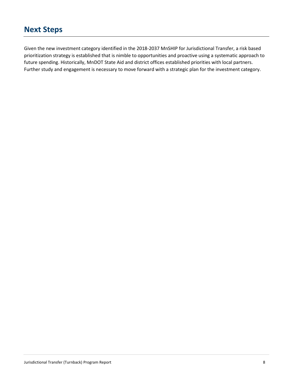#### **Next Steps**

Given the new investment category identified in the 2018-2037 MnSHIP for Jurisdictional Transfer, a risk based prioritization strategy is established that is nimble to opportunities and proactive using a systematic approach to future spending. Historically, MnDOT State Aid and district offices established priorities with local partners. Further study and engagement is necessary to move forward with a strategic plan for the investment category.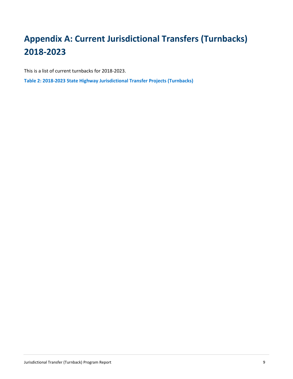# **Appendix A: Current Jurisdictional Transfers (Turnbacks) 2018-2023**

This is a list of current turnbacks for 2018-2023.

**Table 2: 2018-2023 State Highway Jurisdictional Transfer Projects (Turnbacks)**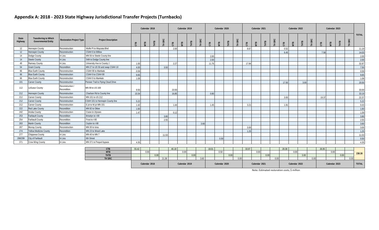#### **Appendix A: 2018 - 2023 State Highway Jurisdictional Transfer Projects (Turnbacks)**

|                  |                                                     |                                 |                                     |       | Calendar 2018<br>Calendar 2020<br>Calendar 2019 |      |           |       |              |       |                 |       |      | Calendar 2021 |                 |       |      | Calendar 2022 |               |       | Calendar 2023 |       |              |       |      |      |          |              |
|------------------|-----------------------------------------------------|---------------------------------|-------------------------------------|-------|-------------------------------------------------|------|-----------|-------|--------------|-------|-----------------|-------|------|---------------|-----------------|-------|------|---------------|---------------|-------|---------------|-------|--------------|-------|------|------|----------|--------------|
| State<br>Highway | Transferring to Which<br><b>Governmental Entity</b> | <b>Restoration Project Type</b> | <b>Project Description</b>          | er:   | ШÌ                                              | ËЕ   | SRC<br>E. | ٣Ï,   | $\mathbf{B}$ | ËЕ    | SRC<br>$\equiv$ | 咒     | ΓÊ   | ËЕ            | SRC<br>$\equiv$ | ξÎ,   | EП   | ËЕ            | <b>TH SRC</b> | ξĒ,   | $\mathbf{B}$  | H     | SRC<br>$\pm$ | 咒     | ГÊ   | E    | SRC<br>폰 | <b>TOTAL</b> |
| 12               | <b>Hennepin County</b>                              | Reconstruction                  | Wolfe Pt to Wayzata Blvd            |       |                                                 |      |           | 2.00  |              |       |                 |       |      |               |                 | 8.67  |      |               |               | 0.52  |               |       |              |       |      |      |          | 11.19        |
| 12               | <b>Hennepin County</b>                              | Reconstruction                  | CSAH 6 to Willow                    |       |                                                 |      |           |       |              |       |                 |       |      |               |                 |       |      |               |               | 6.45  |               |       |              | 7.58  |      |      |          | 14.03        |
| 14               | Dodge County                                        | In Lieu                         | MN 56 to Steele County line         |       |                                                 |      |           |       |              |       |                 | 2.00  |      |               |                 |       |      |               |               |       |               |       |              |       |      |      |          | 2.00         |
| 14               | <b>Steele County</b>                                | In Lieu                         | 54th to Dodge County line           |       |                                                 |      |           |       |              |       |                 | 2.00  |      |               |                 |       |      |               |               |       |               |       |              |       |      |      |          | 2.00         |
| 49               | Ramsey County                                       | In Lieu                         | University Ave to County J          | 1.00  |                                                 |      |           | 2.27  |              |       |                 | 11.76 |      |               |                 | 17.84 |      |               |               |       |               |       |              |       |      |      |          | 32.87        |
| -54              | <b>Grant County</b>                                 | Recondition                     | MN 27 to US 59 and swap CSAH 10     | 4.00  |                                                 |      | 3.50      |       |              |       |                 |       |      |               |                 |       |      |               |               |       |               |       |              |       |      |      |          | 7.50         |
| 66               | <b>Blue Earth County</b>                            | Reconstruction                  | CSAH 90 to Mankato                  | 0.59  |                                                 |      |           |       |              |       |                 |       |      |               |                 |       |      |               |               |       |               |       |              |       |      |      |          | 0.59         |
| 66               | <b>Blue Earth County</b>                            | Reconstruction                  | CSAH 9 to CSAH 90                   | 9.65  |                                                 |      |           |       |              |       |                 |       |      |               |                 |       |      |               |               |       |               |       |              |       |      |      |          | 9.65         |
| 66               | <b>Blue Earth County</b>                            | Reconstruction                  | CSAH 9 to Mankato                   | 1.08  |                                                 |      |           |       |              |       |                 |       |      |               |                 |       |      |               |               |       |               |       |              |       |      |      |          | 1.08         |
| 101              | <b>Carver County</b>                                | Reconstruction                  | Pioneer Trail to Flying Cloud Drive |       |                                                 |      |           |       |              |       |                 |       |      |               |                 |       |      |               |               | 17.50 |               | 3.00  |              |       |      |      |          | 20.50        |
| 112              | LeSueur County                                      | Reconstruction /<br>Recondition | MN 99 to US 169                     | 9.50  |                                                 |      |           | 23.50 |              |       |                 |       |      |               |                 |       |      |               |               |       |               |       |              |       |      |      |          | 33.00        |
| 212              | <b>Hennepin County</b>                              | Reconstruction                  | Charlson Rd to County line          | 15.54 |                                                 |      |           | 16.85 |              |       |                 | 0.80  |      |               |                 |       |      |               |               |       |               |       |              |       |      |      |          | 33.19        |
| 212              | Carver Countv                                       | Reconstruction                  | MN 101 to US 212                    |       |                                                 |      |           |       |              |       |                 |       |      |               |                 |       |      |               |               | 3.00  |               |       |              | 19.37 |      |      |          | 22.37        |
| 212              | <b>Carver County</b>                                | Reconstruction                  | CSAH 101 to Hennepin County line    | 5.22  |                                                 |      |           |       |              |       |                 |       |      |               |                 |       |      |               |               |       |               |       |              |       |      |      |          | 5.22         |
| 212              | Carver County                                       | Reconstruction                  | E jct to W jct MN 101               | 1.42  |                                                 |      |           | 1.44  |              |       |                 | 1.45  |      |               |                 | 3.21  |      |               |               | 1.91  |               |       |              |       |      |      |          | 9.43         |
| 222              | Red Lake County                                     | Recondition                     | MN 92 to Oklee                      | 1.60  |                                                 |      |           |       |              |       |                 |       |      |               |                 |       |      |               |               |       |               |       |              |       |      |      |          | 1.60         |
| 242              | Anoka County                                        | Reconstruction                  | Crane to Ulysses                    | 1.47  |                                                 |      |           | 0.12  |              |       |                 |       |      |               |                 |       |      |               |               |       |               |       |              |       |      |      |          | 1.59         |
| 253              | <b>Faribault County</b>                             | Recondition                     | Bricelyn to I-90                    |       |                                                 |      | 3.80      |       |              |       |                 |       |      |               |                 |       |      |               |               |       |               |       |              |       |      |      |          | 3.80         |
| 254              | <b>Faribault County</b>                             | Recondition                     | Frost to I-90                       |       |                                                 |      | 2.55      |       |              |       |                 |       |      |               |                 |       |      |               |               |       |               |       |              |       |      |      |          | 2.55         |
| 263              | <b>Martin County</b>                                | Recondition                     | Ceylon to I-90                      |       |                                                 |      |           |       |              |       | 3.60            |       |      |               |                 |       |      |               |               |       |               |       |              |       |      |      |          | 3.60         |
| 267              | Murray County                                       | Reconstruction                  | MN 30 to lona                       |       |                                                 |      |           |       |              |       |                 |       |      |               |                 | 3.00  |      |               |               |       |               |       |              |       |      |      |          | 3.00         |
| 274              | <b>Yellow Medicine County</b>                       | Recondition                     | MN 23 to Wood Lake                  |       |                                                 |      |           |       |              |       |                 |       |      |               |                 | 1.25  |      |               |               |       |               |       |              |       |      |      |          | 1.25         |
| 277              | Chippewa County                                     | In Lieu                         | MN 40 to MN 7                       |       |                                                 |      | 11.53     |       |              |       |                 |       |      |               |                 |       |      |               |               |       |               |       |              |       |      |      |          | 11.53        |
| 298/299          | City of Faribault                                   | In Lieu                         | 6th Street                          |       |                                                 |      |           |       |              |       |                 |       | 0.50 |               |                 |       |      |               |               |       |               |       |              |       |      |      |          | 0.50         |
| 371              | Crow Wing County                                    | In Lieu                         | MN 371 to Pequot bypass             | 4.35  |                                                 |      |           |       |              |       |                 |       |      |               |                 |       |      |               |               |       |               |       |              |       |      |      |          | 4.35         |
|                  |                                                     |                                 |                                     |       |                                                 |      |           |       |              |       |                 |       |      |               |                 |       |      |               |               |       |               |       |              |       |      |      |          |              |
|                  |                                                     |                                 | <b>CTB</b>                          |       | 55.42<br>46.18                                  |      |           |       |              | 18.01 |                 |       |      | 33.97         |                 |       |      | 29.38         |               |       |               | 26.95 |              |       |      |      |          |              |
|                  |                                                     |                                 | <b>MTB</b><br><b>THTB</b>           |       | 0.00                                            | 0.00 |           |       | 0.00         | 0.00  |                 |       | 0.50 | 0.00          |                 |       | 0.00 | 0.00          |               |       | 0.00          | 3.00  |              |       | 0.00 | 0.00 |          | 238.39       |
|                  |                                                     |                                 |                                     |       |                                                 |      |           |       |              |       |                 |       |      |               |                 |       |      |               |               |       |               |       |              |       |      |      |          |              |

| TH SRC |               | 01.00<br>ں رہے |               | 3.60 |               | ו ההי<br>J.UU |               | .00. |               | 0.00 |               | 0.00 |              |
|--------|---------------|----------------|---------------|------|---------------|---------------|---------------|------|---------------|------|---------------|------|--------------|
|        | Calendar 2018 |                | Calendar 2019 |      | Calendar 2020 |               | Calendar 2021 |      | Calendar 2022 |      | Calendar 2023 |      | <b>TOTAL</b> |

Note: Estimated restoration costs, \$ million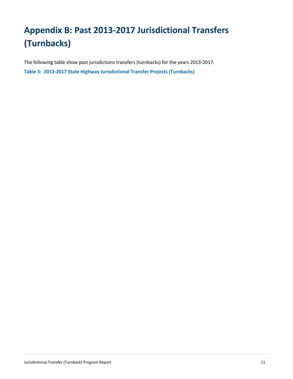# **Appendix B: Past 2013-2017 Jurisdictional Transfers (Turnbacks)**

The following table show past jurisdictions transfers (turnbacks) for the years 2013-2017. **Table 3: 2013-2017 State Highway Jurisdictional Transfer Projects (Turnbacks)**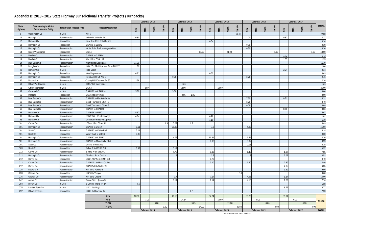## **Appendix B: 2013 - 2017 State Highway Jurisdictional Transfer Projects (Turnbacks)**

| SRC<br><b>TH SRC</b><br><b>TH SRC</b><br><b>TH SRC</b><br>TH SRC<br><b>TOTAL</b><br>State<br><b>Transferring to Which</b><br>ĨНЬ<br>ËЕ<br>ĨЩ<br>HТB<br>HLB<br><b>Project Description</b><br><b>Restoration Project Type</b><br>ÆВ<br>IГB<br>ÆВ<br>ŒБ<br>ГË<br>СTB<br>$\overline{AB}$<br>ЭĽ<br>СTB<br>ЭTС<br><b>Governmental Entity</b><br>Highway<br>$\pm$<br>Washington Co<br>MN <sub>5</sub><br>5<br>In Lieu<br>22.00<br>22.00<br>12<br>Reconstruction<br>Willow Dr to Wolfe Pt<br>14.37<br>Hennepin Co<br>0.80<br>3.00<br>10.57<br>0.34<br>12<br>Ramsey Co<br>Recondition<br>Univ. Ave Rice St to Co. line<br>0.34<br>12<br>0.30<br>Hennepin Co<br>Recondition<br>CSAH 6 to Willow<br>0.30<br>0.30<br>12<br>Hennepin Co<br>0.30<br>Reconstruction<br>Wolfe Point Trail to Wayzata Blvd<br>43.00<br>14<br>Steele/Waseca Co<br>Recondition<br><b>US14</b><br>14.00<br>21.00<br>4.00<br>4.00<br>1.72<br>14<br>Nicollet Co<br>CSAH 6 to CSAH 41<br>Reconstruction<br>1.72<br>1.35<br>1.35<br>14<br>Nicollet Co<br>Reconstruction<br>MN 111 to CSAH 42<br>11.39<br><b>Blue Earth Co</b><br>11.39<br>14<br>Mankato to Eagle Lake<br>Reconstruction<br>27<br>1.00<br>Douglas Co<br>Recondition<br>194 to TH 29 & Nokomis St to TH 127<br>1.00<br>2.34<br>49<br>Ramsey Co<br>In Lieu<br>2.34<br><b>Rice Street</b><br>0.63<br>52<br>Hennepin Co<br>Recondition<br>Washington Ave<br>0.61<br>0.02<br>9.46<br>52<br>Henn Ave to 5th Ave S<br>0.70<br>8.76<br>Hennepin Co<br>Recondition<br>2.36<br>60<br>Nobles Co<br>Reconstruction<br>County Rd 57 to new TH 60<br>2.36<br>1.09<br>60<br>City of Worthington<br>In Lieu<br>CR 57 to Flower Lane<br>1.09<br>26.00<br><b>US 63</b><br>3.00<br>10.00<br>63<br>City of Rochester<br>In Lieu<br>13.00<br>CSAH 22 to CSAH 14<br>10.00<br>Olmstead Co<br>In Lieu<br>63<br>5.00<br>5.00<br>1.95<br>2.00<br>66<br>Mankato<br>Recondition<br>US 169 to city limits<br>0.05<br>8.31<br>66<br><b>Blue Earth Co</b><br>CSAH 90 to Mankato limits<br>7.60<br>0.71<br>Reconstruction<br>8.70<br>8.70<br>Blue Earth Co<br>Good Thunder to CSAH 9<br>66<br>Reconstruction<br>0.09<br>66<br>Blue Earth Co<br>Recondition<br>Good Thunder to CSAH 9<br>0.09<br>8.06<br><b>Blue Earth Co</b><br>8.06<br>66<br>Reconstruction<br>CSAH 9 to CSAH 90<br>5.67<br>96<br>CSAH 96 at US10<br>5.67<br>Ramsey Co<br>Reconstruction<br>96<br>1.02<br>Ramsey Co<br>35W/CSAH 96 interchange<br>0.04<br>0.98<br>Reconstruction<br>1.10<br>96<br>Ramsey Co<br>Recondition<br>Centerville Rd to WBL pkwy<br>1.10<br>3.49<br>1.5<br>CSAH 18 to CSAH 14<br>1.9<br>101<br>Carver Co<br>Reconstruction<br>0.09<br>41.59<br>CSAH 5 to US 12<br>28.89<br>7.2<br>4.89<br>101<br>Hennepin Co<br>Reconstruction<br>0.61<br>101<br>Scott Co<br>0.14<br>Recondition<br>CSAH 83 to Valley Park<br>0.14<br>0.30<br>101<br>Scott Co<br>0.30<br>Recondition<br>Valley Park to 70th St<br>18.30<br>Hennepin Co<br>CSAH 62 to CSAH 3<br>4.72<br>11.94<br>1.64<br>101<br>Reconstruction<br>0.99<br>101<br>Hennepin Co<br>CSAH 3 to Minnetonka Blvd<br>0.92<br>0.07<br>Reconstruction<br>Scott Co<br>0.15<br>101<br>Reconstruction<br>Co line to First Ave<br>0.15<br>0.57<br>169<br>Scott Co<br>Fuller St to CP RR NR<br>0.38<br>0.19<br>Recondition<br>7.85<br>4.73<br>1.42<br>212<br>Carver Co<br>Reconstruction<br>E jct to W jct MN 101<br>0.33<br>1.37<br>10.52<br>212<br>Hennepin Co<br>2.5<br>3.02<br>Reconstruction<br>Charlson Rd to Co line<br>0.70<br>212<br>US 212 to West jct MN 101<br>0.70<br>Carver Co<br>Recondition<br>4.40<br>0.40<br>1.20<br>2.80<br>212<br>Carver Co<br>CSAH 101 to Henn Co line<br>Reconstruction<br>4.35<br>4.35<br>212<br>Carver Co<br>CSAH 140 to Walnut St<br>Reconstruction<br>9.50<br>225<br>9.50<br>Becker Co<br>MN 34 to Ponsford<br>Reconstruction<br>8.60<br>228<br>8.6<br>Ottertail Co<br>Recondition<br>US 10 to Vergas<br>15.00<br>235<br>4.96<br>1.17<br>Ottertail Co<br>MN 29 to Urbank<br>$-1.7$<br>7.17<br>Reconstruction<br>242<br>4.18<br>1.28<br>7.74<br>Anoka Co<br>Reconstruction<br>Crane St to Ulysses St<br>1.14<br>1.14<br>5.20<br>258<br>5.2<br>Brown Co<br>In Lieu<br>S County line to TH 14<br>275<br>6.77<br>ac Qui Parie Co<br>In Lieu<br>US 212 to Boyd<br>6.77<br>2.20<br>292<br>2.2<br>City of Hastings<br>Recondition<br>US 61 to Ravenna Tr<br><b>CTB</b><br>55.01<br>33.50<br>49.16<br>34.74<br>50.26<br><b>MTB</b><br>10.00<br>3.00<br>14.14<br>0.00<br>0.00<br>330.96<br><b>THTB</b><br>5.65<br>21.00<br>0.00<br>0.00<br>0.00<br>TH SRC<br>1.90<br>14.00<br>30.60<br>4.00<br>4.00<br><b>TOTAL</b><br>Calendar 2018<br>Calendar 2019<br>Calendar 2020<br>Calendar 2021<br>Calendar 2022 |  |  |  |  | Calendar 2013 |  |  | Calendar 2014 |  |  |  |  | Calendar 2015 |  | Calendar 2016 |  | Calendar 2017 |  |  |  |  |
|-----------------------------------------------------------------------------------------------------------------------------------------------------------------------------------------------------------------------------------------------------------------------------------------------------------------------------------------------------------------------------------------------------------------------------------------------------------------------------------------------------------------------------------------------------------------------------------------------------------------------------------------------------------------------------------------------------------------------------------------------------------------------------------------------------------------------------------------------------------------------------------------------------------------------------------------------------------------------------------------------------------------------------------------------------------------------------------------------------------------------------------------------------------------------------------------------------------------------------------------------------------------------------------------------------------------------------------------------------------------------------------------------------------------------------------------------------------------------------------------------------------------------------------------------------------------------------------------------------------------------------------------------------------------------------------------------------------------------------------------------------------------------------------------------------------------------------------------------------------------------------------------------------------------------------------------------------------------------------------------------------------------------------------------------------------------------------------------------------------------------------------------------------------------------------------------------------------------------------------------------------------------------------------------------------------------------------------------------------------------------------------------------------------------------------------------------------------------------------------------------------------------------------------------------------------------------------------------------------------------------------------------------------------------------------------------------------------------------------------------------------------------------------------------------------------------------------------------------------------------------------------------------------------------------------------------------------------------------------------------------------------------------------------------------------------------------------------------------------------------------------------------------------------------------------------------------------------------------------------------------------------------------------------------------------------------------------------------------------------------------------------------------------------------------------------------------------------------------------------------------------------------------------------------------------------------------------------------------------------------------------------------------------------------------------------------------------------------------------------------------------------------------------------------------------------------------------------------------------------------------------------------------------------------------------------------------------------------------------------------------------------------------------------------------------------------------------------------------------------------------------------------------------------------------------------------------------------------------------------------------------------------------------------------------------------------------------------------------------------------------------------------------------------------------------------------------------------------------------------------------------------------------------------------------------------------------------------------------------------------------------------------------------------|--|--|--|--|---------------|--|--|---------------|--|--|--|--|---------------|--|---------------|--|---------------|--|--|--|--|
|                                                                                                                                                                                                                                                                                                                                                                                                                                                                                                                                                                                                                                                                                                                                                                                                                                                                                                                                                                                                                                                                                                                                                                                                                                                                                                                                                                                                                                                                                                                                                                                                                                                                                                                                                                                                                                                                                                                                                                                                                                                                                                                                                                                                                                                                                                                                                                                                                                                                                                                                                                                                                                                                                                                                                                                                                                                                                                                                                                                                                                                                                                                                                                                                                                                                                                                                                                                                                                                                                                                                                                                                                                                                                                                                                                                                                                                                                                                                                                                                                                                                                                                                                                                                                                                                                                                                                                                                                                                                                                                                                                                                                                                           |  |  |  |  |               |  |  |               |  |  |  |  |               |  |               |  |               |  |  |  |  |
|                                                                                                                                                                                                                                                                                                                                                                                                                                                                                                                                                                                                                                                                                                                                                                                                                                                                                                                                                                                                                                                                                                                                                                                                                                                                                                                                                                                                                                                                                                                                                                                                                                                                                                                                                                                                                                                                                                                                                                                                                                                                                                                                                                                                                                                                                                                                                                                                                                                                                                                                                                                                                                                                                                                                                                                                                                                                                                                                                                                                                                                                                                                                                                                                                                                                                                                                                                                                                                                                                                                                                                                                                                                                                                                                                                                                                                                                                                                                                                                                                                                                                                                                                                                                                                                                                                                                                                                                                                                                                                                                                                                                                                                           |  |  |  |  |               |  |  |               |  |  |  |  |               |  |               |  |               |  |  |  |  |
|                                                                                                                                                                                                                                                                                                                                                                                                                                                                                                                                                                                                                                                                                                                                                                                                                                                                                                                                                                                                                                                                                                                                                                                                                                                                                                                                                                                                                                                                                                                                                                                                                                                                                                                                                                                                                                                                                                                                                                                                                                                                                                                                                                                                                                                                                                                                                                                                                                                                                                                                                                                                                                                                                                                                                                                                                                                                                                                                                                                                                                                                                                                                                                                                                                                                                                                                                                                                                                                                                                                                                                                                                                                                                                                                                                                                                                                                                                                                                                                                                                                                                                                                                                                                                                                                                                                                                                                                                                                                                                                                                                                                                                                           |  |  |  |  |               |  |  |               |  |  |  |  |               |  |               |  |               |  |  |  |  |
|                                                                                                                                                                                                                                                                                                                                                                                                                                                                                                                                                                                                                                                                                                                                                                                                                                                                                                                                                                                                                                                                                                                                                                                                                                                                                                                                                                                                                                                                                                                                                                                                                                                                                                                                                                                                                                                                                                                                                                                                                                                                                                                                                                                                                                                                                                                                                                                                                                                                                                                                                                                                                                                                                                                                                                                                                                                                                                                                                                                                                                                                                                                                                                                                                                                                                                                                                                                                                                                                                                                                                                                                                                                                                                                                                                                                                                                                                                                                                                                                                                                                                                                                                                                                                                                                                                                                                                                                                                                                                                                                                                                                                                                           |  |  |  |  |               |  |  |               |  |  |  |  |               |  |               |  |               |  |  |  |  |
|                                                                                                                                                                                                                                                                                                                                                                                                                                                                                                                                                                                                                                                                                                                                                                                                                                                                                                                                                                                                                                                                                                                                                                                                                                                                                                                                                                                                                                                                                                                                                                                                                                                                                                                                                                                                                                                                                                                                                                                                                                                                                                                                                                                                                                                                                                                                                                                                                                                                                                                                                                                                                                                                                                                                                                                                                                                                                                                                                                                                                                                                                                                                                                                                                                                                                                                                                                                                                                                                                                                                                                                                                                                                                                                                                                                                                                                                                                                                                                                                                                                                                                                                                                                                                                                                                                                                                                                                                                                                                                                                                                                                                                                           |  |  |  |  |               |  |  |               |  |  |  |  |               |  |               |  |               |  |  |  |  |
|                                                                                                                                                                                                                                                                                                                                                                                                                                                                                                                                                                                                                                                                                                                                                                                                                                                                                                                                                                                                                                                                                                                                                                                                                                                                                                                                                                                                                                                                                                                                                                                                                                                                                                                                                                                                                                                                                                                                                                                                                                                                                                                                                                                                                                                                                                                                                                                                                                                                                                                                                                                                                                                                                                                                                                                                                                                                                                                                                                                                                                                                                                                                                                                                                                                                                                                                                                                                                                                                                                                                                                                                                                                                                                                                                                                                                                                                                                                                                                                                                                                                                                                                                                                                                                                                                                                                                                                                                                                                                                                                                                                                                                                           |  |  |  |  |               |  |  |               |  |  |  |  |               |  |               |  |               |  |  |  |  |
|                                                                                                                                                                                                                                                                                                                                                                                                                                                                                                                                                                                                                                                                                                                                                                                                                                                                                                                                                                                                                                                                                                                                                                                                                                                                                                                                                                                                                                                                                                                                                                                                                                                                                                                                                                                                                                                                                                                                                                                                                                                                                                                                                                                                                                                                                                                                                                                                                                                                                                                                                                                                                                                                                                                                                                                                                                                                                                                                                                                                                                                                                                                                                                                                                                                                                                                                                                                                                                                                                                                                                                                                                                                                                                                                                                                                                                                                                                                                                                                                                                                                                                                                                                                                                                                                                                                                                                                                                                                                                                                                                                                                                                                           |  |  |  |  |               |  |  |               |  |  |  |  |               |  |               |  |               |  |  |  |  |
|                                                                                                                                                                                                                                                                                                                                                                                                                                                                                                                                                                                                                                                                                                                                                                                                                                                                                                                                                                                                                                                                                                                                                                                                                                                                                                                                                                                                                                                                                                                                                                                                                                                                                                                                                                                                                                                                                                                                                                                                                                                                                                                                                                                                                                                                                                                                                                                                                                                                                                                                                                                                                                                                                                                                                                                                                                                                                                                                                                                                                                                                                                                                                                                                                                                                                                                                                                                                                                                                                                                                                                                                                                                                                                                                                                                                                                                                                                                                                                                                                                                                                                                                                                                                                                                                                                                                                                                                                                                                                                                                                                                                                                                           |  |  |  |  |               |  |  |               |  |  |  |  |               |  |               |  |               |  |  |  |  |
|                                                                                                                                                                                                                                                                                                                                                                                                                                                                                                                                                                                                                                                                                                                                                                                                                                                                                                                                                                                                                                                                                                                                                                                                                                                                                                                                                                                                                                                                                                                                                                                                                                                                                                                                                                                                                                                                                                                                                                                                                                                                                                                                                                                                                                                                                                                                                                                                                                                                                                                                                                                                                                                                                                                                                                                                                                                                                                                                                                                                                                                                                                                                                                                                                                                                                                                                                                                                                                                                                                                                                                                                                                                                                                                                                                                                                                                                                                                                                                                                                                                                                                                                                                                                                                                                                                                                                                                                                                                                                                                                                                                                                                                           |  |  |  |  |               |  |  |               |  |  |  |  |               |  |               |  |               |  |  |  |  |
|                                                                                                                                                                                                                                                                                                                                                                                                                                                                                                                                                                                                                                                                                                                                                                                                                                                                                                                                                                                                                                                                                                                                                                                                                                                                                                                                                                                                                                                                                                                                                                                                                                                                                                                                                                                                                                                                                                                                                                                                                                                                                                                                                                                                                                                                                                                                                                                                                                                                                                                                                                                                                                                                                                                                                                                                                                                                                                                                                                                                                                                                                                                                                                                                                                                                                                                                                                                                                                                                                                                                                                                                                                                                                                                                                                                                                                                                                                                                                                                                                                                                                                                                                                                                                                                                                                                                                                                                                                                                                                                                                                                                                                                           |  |  |  |  |               |  |  |               |  |  |  |  |               |  |               |  |               |  |  |  |  |
|                                                                                                                                                                                                                                                                                                                                                                                                                                                                                                                                                                                                                                                                                                                                                                                                                                                                                                                                                                                                                                                                                                                                                                                                                                                                                                                                                                                                                                                                                                                                                                                                                                                                                                                                                                                                                                                                                                                                                                                                                                                                                                                                                                                                                                                                                                                                                                                                                                                                                                                                                                                                                                                                                                                                                                                                                                                                                                                                                                                                                                                                                                                                                                                                                                                                                                                                                                                                                                                                                                                                                                                                                                                                                                                                                                                                                                                                                                                                                                                                                                                                                                                                                                                                                                                                                                                                                                                                                                                                                                                                                                                                                                                           |  |  |  |  |               |  |  |               |  |  |  |  |               |  |               |  |               |  |  |  |  |
|                                                                                                                                                                                                                                                                                                                                                                                                                                                                                                                                                                                                                                                                                                                                                                                                                                                                                                                                                                                                                                                                                                                                                                                                                                                                                                                                                                                                                                                                                                                                                                                                                                                                                                                                                                                                                                                                                                                                                                                                                                                                                                                                                                                                                                                                                                                                                                                                                                                                                                                                                                                                                                                                                                                                                                                                                                                                                                                                                                                                                                                                                                                                                                                                                                                                                                                                                                                                                                                                                                                                                                                                                                                                                                                                                                                                                                                                                                                                                                                                                                                                                                                                                                                                                                                                                                                                                                                                                                                                                                                                                                                                                                                           |  |  |  |  |               |  |  |               |  |  |  |  |               |  |               |  |               |  |  |  |  |
|                                                                                                                                                                                                                                                                                                                                                                                                                                                                                                                                                                                                                                                                                                                                                                                                                                                                                                                                                                                                                                                                                                                                                                                                                                                                                                                                                                                                                                                                                                                                                                                                                                                                                                                                                                                                                                                                                                                                                                                                                                                                                                                                                                                                                                                                                                                                                                                                                                                                                                                                                                                                                                                                                                                                                                                                                                                                                                                                                                                                                                                                                                                                                                                                                                                                                                                                                                                                                                                                                                                                                                                                                                                                                                                                                                                                                                                                                                                                                                                                                                                                                                                                                                                                                                                                                                                                                                                                                                                                                                                                                                                                                                                           |  |  |  |  |               |  |  |               |  |  |  |  |               |  |               |  |               |  |  |  |  |
|                                                                                                                                                                                                                                                                                                                                                                                                                                                                                                                                                                                                                                                                                                                                                                                                                                                                                                                                                                                                                                                                                                                                                                                                                                                                                                                                                                                                                                                                                                                                                                                                                                                                                                                                                                                                                                                                                                                                                                                                                                                                                                                                                                                                                                                                                                                                                                                                                                                                                                                                                                                                                                                                                                                                                                                                                                                                                                                                                                                                                                                                                                                                                                                                                                                                                                                                                                                                                                                                                                                                                                                                                                                                                                                                                                                                                                                                                                                                                                                                                                                                                                                                                                                                                                                                                                                                                                                                                                                                                                                                                                                                                                                           |  |  |  |  |               |  |  |               |  |  |  |  |               |  |               |  |               |  |  |  |  |
|                                                                                                                                                                                                                                                                                                                                                                                                                                                                                                                                                                                                                                                                                                                                                                                                                                                                                                                                                                                                                                                                                                                                                                                                                                                                                                                                                                                                                                                                                                                                                                                                                                                                                                                                                                                                                                                                                                                                                                                                                                                                                                                                                                                                                                                                                                                                                                                                                                                                                                                                                                                                                                                                                                                                                                                                                                                                                                                                                                                                                                                                                                                                                                                                                                                                                                                                                                                                                                                                                                                                                                                                                                                                                                                                                                                                                                                                                                                                                                                                                                                                                                                                                                                                                                                                                                                                                                                                                                                                                                                                                                                                                                                           |  |  |  |  |               |  |  |               |  |  |  |  |               |  |               |  |               |  |  |  |  |
|                                                                                                                                                                                                                                                                                                                                                                                                                                                                                                                                                                                                                                                                                                                                                                                                                                                                                                                                                                                                                                                                                                                                                                                                                                                                                                                                                                                                                                                                                                                                                                                                                                                                                                                                                                                                                                                                                                                                                                                                                                                                                                                                                                                                                                                                                                                                                                                                                                                                                                                                                                                                                                                                                                                                                                                                                                                                                                                                                                                                                                                                                                                                                                                                                                                                                                                                                                                                                                                                                                                                                                                                                                                                                                                                                                                                                                                                                                                                                                                                                                                                                                                                                                                                                                                                                                                                                                                                                                                                                                                                                                                                                                                           |  |  |  |  |               |  |  |               |  |  |  |  |               |  |               |  |               |  |  |  |  |
|                                                                                                                                                                                                                                                                                                                                                                                                                                                                                                                                                                                                                                                                                                                                                                                                                                                                                                                                                                                                                                                                                                                                                                                                                                                                                                                                                                                                                                                                                                                                                                                                                                                                                                                                                                                                                                                                                                                                                                                                                                                                                                                                                                                                                                                                                                                                                                                                                                                                                                                                                                                                                                                                                                                                                                                                                                                                                                                                                                                                                                                                                                                                                                                                                                                                                                                                                                                                                                                                                                                                                                                                                                                                                                                                                                                                                                                                                                                                                                                                                                                                                                                                                                                                                                                                                                                                                                                                                                                                                                                                                                                                                                                           |  |  |  |  |               |  |  |               |  |  |  |  |               |  |               |  |               |  |  |  |  |
|                                                                                                                                                                                                                                                                                                                                                                                                                                                                                                                                                                                                                                                                                                                                                                                                                                                                                                                                                                                                                                                                                                                                                                                                                                                                                                                                                                                                                                                                                                                                                                                                                                                                                                                                                                                                                                                                                                                                                                                                                                                                                                                                                                                                                                                                                                                                                                                                                                                                                                                                                                                                                                                                                                                                                                                                                                                                                                                                                                                                                                                                                                                                                                                                                                                                                                                                                                                                                                                                                                                                                                                                                                                                                                                                                                                                                                                                                                                                                                                                                                                                                                                                                                                                                                                                                                                                                                                                                                                                                                                                                                                                                                                           |  |  |  |  |               |  |  |               |  |  |  |  |               |  |               |  |               |  |  |  |  |
|                                                                                                                                                                                                                                                                                                                                                                                                                                                                                                                                                                                                                                                                                                                                                                                                                                                                                                                                                                                                                                                                                                                                                                                                                                                                                                                                                                                                                                                                                                                                                                                                                                                                                                                                                                                                                                                                                                                                                                                                                                                                                                                                                                                                                                                                                                                                                                                                                                                                                                                                                                                                                                                                                                                                                                                                                                                                                                                                                                                                                                                                                                                                                                                                                                                                                                                                                                                                                                                                                                                                                                                                                                                                                                                                                                                                                                                                                                                                                                                                                                                                                                                                                                                                                                                                                                                                                                                                                                                                                                                                                                                                                                                           |  |  |  |  |               |  |  |               |  |  |  |  |               |  |               |  |               |  |  |  |  |
|                                                                                                                                                                                                                                                                                                                                                                                                                                                                                                                                                                                                                                                                                                                                                                                                                                                                                                                                                                                                                                                                                                                                                                                                                                                                                                                                                                                                                                                                                                                                                                                                                                                                                                                                                                                                                                                                                                                                                                                                                                                                                                                                                                                                                                                                                                                                                                                                                                                                                                                                                                                                                                                                                                                                                                                                                                                                                                                                                                                                                                                                                                                                                                                                                                                                                                                                                                                                                                                                                                                                                                                                                                                                                                                                                                                                                                                                                                                                                                                                                                                                                                                                                                                                                                                                                                                                                                                                                                                                                                                                                                                                                                                           |  |  |  |  |               |  |  |               |  |  |  |  |               |  |               |  |               |  |  |  |  |
|                                                                                                                                                                                                                                                                                                                                                                                                                                                                                                                                                                                                                                                                                                                                                                                                                                                                                                                                                                                                                                                                                                                                                                                                                                                                                                                                                                                                                                                                                                                                                                                                                                                                                                                                                                                                                                                                                                                                                                                                                                                                                                                                                                                                                                                                                                                                                                                                                                                                                                                                                                                                                                                                                                                                                                                                                                                                                                                                                                                                                                                                                                                                                                                                                                                                                                                                                                                                                                                                                                                                                                                                                                                                                                                                                                                                                                                                                                                                                                                                                                                                                                                                                                                                                                                                                                                                                                                                                                                                                                                                                                                                                                                           |  |  |  |  |               |  |  |               |  |  |  |  |               |  |               |  |               |  |  |  |  |
|                                                                                                                                                                                                                                                                                                                                                                                                                                                                                                                                                                                                                                                                                                                                                                                                                                                                                                                                                                                                                                                                                                                                                                                                                                                                                                                                                                                                                                                                                                                                                                                                                                                                                                                                                                                                                                                                                                                                                                                                                                                                                                                                                                                                                                                                                                                                                                                                                                                                                                                                                                                                                                                                                                                                                                                                                                                                                                                                                                                                                                                                                                                                                                                                                                                                                                                                                                                                                                                                                                                                                                                                                                                                                                                                                                                                                                                                                                                                                                                                                                                                                                                                                                                                                                                                                                                                                                                                                                                                                                                                                                                                                                                           |  |  |  |  |               |  |  |               |  |  |  |  |               |  |               |  |               |  |  |  |  |
|                                                                                                                                                                                                                                                                                                                                                                                                                                                                                                                                                                                                                                                                                                                                                                                                                                                                                                                                                                                                                                                                                                                                                                                                                                                                                                                                                                                                                                                                                                                                                                                                                                                                                                                                                                                                                                                                                                                                                                                                                                                                                                                                                                                                                                                                                                                                                                                                                                                                                                                                                                                                                                                                                                                                                                                                                                                                                                                                                                                                                                                                                                                                                                                                                                                                                                                                                                                                                                                                                                                                                                                                                                                                                                                                                                                                                                                                                                                                                                                                                                                                                                                                                                                                                                                                                                                                                                                                                                                                                                                                                                                                                                                           |  |  |  |  |               |  |  |               |  |  |  |  |               |  |               |  |               |  |  |  |  |
|                                                                                                                                                                                                                                                                                                                                                                                                                                                                                                                                                                                                                                                                                                                                                                                                                                                                                                                                                                                                                                                                                                                                                                                                                                                                                                                                                                                                                                                                                                                                                                                                                                                                                                                                                                                                                                                                                                                                                                                                                                                                                                                                                                                                                                                                                                                                                                                                                                                                                                                                                                                                                                                                                                                                                                                                                                                                                                                                                                                                                                                                                                                                                                                                                                                                                                                                                                                                                                                                                                                                                                                                                                                                                                                                                                                                                                                                                                                                                                                                                                                                                                                                                                                                                                                                                                                                                                                                                                                                                                                                                                                                                                                           |  |  |  |  |               |  |  |               |  |  |  |  |               |  |               |  |               |  |  |  |  |
|                                                                                                                                                                                                                                                                                                                                                                                                                                                                                                                                                                                                                                                                                                                                                                                                                                                                                                                                                                                                                                                                                                                                                                                                                                                                                                                                                                                                                                                                                                                                                                                                                                                                                                                                                                                                                                                                                                                                                                                                                                                                                                                                                                                                                                                                                                                                                                                                                                                                                                                                                                                                                                                                                                                                                                                                                                                                                                                                                                                                                                                                                                                                                                                                                                                                                                                                                                                                                                                                                                                                                                                                                                                                                                                                                                                                                                                                                                                                                                                                                                                                                                                                                                                                                                                                                                                                                                                                                                                                                                                                                                                                                                                           |  |  |  |  |               |  |  |               |  |  |  |  |               |  |               |  |               |  |  |  |  |
|                                                                                                                                                                                                                                                                                                                                                                                                                                                                                                                                                                                                                                                                                                                                                                                                                                                                                                                                                                                                                                                                                                                                                                                                                                                                                                                                                                                                                                                                                                                                                                                                                                                                                                                                                                                                                                                                                                                                                                                                                                                                                                                                                                                                                                                                                                                                                                                                                                                                                                                                                                                                                                                                                                                                                                                                                                                                                                                                                                                                                                                                                                                                                                                                                                                                                                                                                                                                                                                                                                                                                                                                                                                                                                                                                                                                                                                                                                                                                                                                                                                                                                                                                                                                                                                                                                                                                                                                                                                                                                                                                                                                                                                           |  |  |  |  |               |  |  |               |  |  |  |  |               |  |               |  |               |  |  |  |  |
|                                                                                                                                                                                                                                                                                                                                                                                                                                                                                                                                                                                                                                                                                                                                                                                                                                                                                                                                                                                                                                                                                                                                                                                                                                                                                                                                                                                                                                                                                                                                                                                                                                                                                                                                                                                                                                                                                                                                                                                                                                                                                                                                                                                                                                                                                                                                                                                                                                                                                                                                                                                                                                                                                                                                                                                                                                                                                                                                                                                                                                                                                                                                                                                                                                                                                                                                                                                                                                                                                                                                                                                                                                                                                                                                                                                                                                                                                                                                                                                                                                                                                                                                                                                                                                                                                                                                                                                                                                                                                                                                                                                                                                                           |  |  |  |  |               |  |  |               |  |  |  |  |               |  |               |  |               |  |  |  |  |
|                                                                                                                                                                                                                                                                                                                                                                                                                                                                                                                                                                                                                                                                                                                                                                                                                                                                                                                                                                                                                                                                                                                                                                                                                                                                                                                                                                                                                                                                                                                                                                                                                                                                                                                                                                                                                                                                                                                                                                                                                                                                                                                                                                                                                                                                                                                                                                                                                                                                                                                                                                                                                                                                                                                                                                                                                                                                                                                                                                                                                                                                                                                                                                                                                                                                                                                                                                                                                                                                                                                                                                                                                                                                                                                                                                                                                                                                                                                                                                                                                                                                                                                                                                                                                                                                                                                                                                                                                                                                                                                                                                                                                                                           |  |  |  |  |               |  |  |               |  |  |  |  |               |  |               |  |               |  |  |  |  |
|                                                                                                                                                                                                                                                                                                                                                                                                                                                                                                                                                                                                                                                                                                                                                                                                                                                                                                                                                                                                                                                                                                                                                                                                                                                                                                                                                                                                                                                                                                                                                                                                                                                                                                                                                                                                                                                                                                                                                                                                                                                                                                                                                                                                                                                                                                                                                                                                                                                                                                                                                                                                                                                                                                                                                                                                                                                                                                                                                                                                                                                                                                                                                                                                                                                                                                                                                                                                                                                                                                                                                                                                                                                                                                                                                                                                                                                                                                                                                                                                                                                                                                                                                                                                                                                                                                                                                                                                                                                                                                                                                                                                                                                           |  |  |  |  |               |  |  |               |  |  |  |  |               |  |               |  |               |  |  |  |  |
|                                                                                                                                                                                                                                                                                                                                                                                                                                                                                                                                                                                                                                                                                                                                                                                                                                                                                                                                                                                                                                                                                                                                                                                                                                                                                                                                                                                                                                                                                                                                                                                                                                                                                                                                                                                                                                                                                                                                                                                                                                                                                                                                                                                                                                                                                                                                                                                                                                                                                                                                                                                                                                                                                                                                                                                                                                                                                                                                                                                                                                                                                                                                                                                                                                                                                                                                                                                                                                                                                                                                                                                                                                                                                                                                                                                                                                                                                                                                                                                                                                                                                                                                                                                                                                                                                                                                                                                                                                                                                                                                                                                                                                                           |  |  |  |  |               |  |  |               |  |  |  |  |               |  |               |  |               |  |  |  |  |
|                                                                                                                                                                                                                                                                                                                                                                                                                                                                                                                                                                                                                                                                                                                                                                                                                                                                                                                                                                                                                                                                                                                                                                                                                                                                                                                                                                                                                                                                                                                                                                                                                                                                                                                                                                                                                                                                                                                                                                                                                                                                                                                                                                                                                                                                                                                                                                                                                                                                                                                                                                                                                                                                                                                                                                                                                                                                                                                                                                                                                                                                                                                                                                                                                                                                                                                                                                                                                                                                                                                                                                                                                                                                                                                                                                                                                                                                                                                                                                                                                                                                                                                                                                                                                                                                                                                                                                                                                                                                                                                                                                                                                                                           |  |  |  |  |               |  |  |               |  |  |  |  |               |  |               |  |               |  |  |  |  |
|                                                                                                                                                                                                                                                                                                                                                                                                                                                                                                                                                                                                                                                                                                                                                                                                                                                                                                                                                                                                                                                                                                                                                                                                                                                                                                                                                                                                                                                                                                                                                                                                                                                                                                                                                                                                                                                                                                                                                                                                                                                                                                                                                                                                                                                                                                                                                                                                                                                                                                                                                                                                                                                                                                                                                                                                                                                                                                                                                                                                                                                                                                                                                                                                                                                                                                                                                                                                                                                                                                                                                                                                                                                                                                                                                                                                                                                                                                                                                                                                                                                                                                                                                                                                                                                                                                                                                                                                                                                                                                                                                                                                                                                           |  |  |  |  |               |  |  |               |  |  |  |  |               |  |               |  |               |  |  |  |  |
|                                                                                                                                                                                                                                                                                                                                                                                                                                                                                                                                                                                                                                                                                                                                                                                                                                                                                                                                                                                                                                                                                                                                                                                                                                                                                                                                                                                                                                                                                                                                                                                                                                                                                                                                                                                                                                                                                                                                                                                                                                                                                                                                                                                                                                                                                                                                                                                                                                                                                                                                                                                                                                                                                                                                                                                                                                                                                                                                                                                                                                                                                                                                                                                                                                                                                                                                                                                                                                                                                                                                                                                                                                                                                                                                                                                                                                                                                                                                                                                                                                                                                                                                                                                                                                                                                                                                                                                                                                                                                                                                                                                                                                                           |  |  |  |  |               |  |  |               |  |  |  |  |               |  |               |  |               |  |  |  |  |
|                                                                                                                                                                                                                                                                                                                                                                                                                                                                                                                                                                                                                                                                                                                                                                                                                                                                                                                                                                                                                                                                                                                                                                                                                                                                                                                                                                                                                                                                                                                                                                                                                                                                                                                                                                                                                                                                                                                                                                                                                                                                                                                                                                                                                                                                                                                                                                                                                                                                                                                                                                                                                                                                                                                                                                                                                                                                                                                                                                                                                                                                                                                                                                                                                                                                                                                                                                                                                                                                                                                                                                                                                                                                                                                                                                                                                                                                                                                                                                                                                                                                                                                                                                                                                                                                                                                                                                                                                                                                                                                                                                                                                                                           |  |  |  |  |               |  |  |               |  |  |  |  |               |  |               |  |               |  |  |  |  |
|                                                                                                                                                                                                                                                                                                                                                                                                                                                                                                                                                                                                                                                                                                                                                                                                                                                                                                                                                                                                                                                                                                                                                                                                                                                                                                                                                                                                                                                                                                                                                                                                                                                                                                                                                                                                                                                                                                                                                                                                                                                                                                                                                                                                                                                                                                                                                                                                                                                                                                                                                                                                                                                                                                                                                                                                                                                                                                                                                                                                                                                                                                                                                                                                                                                                                                                                                                                                                                                                                                                                                                                                                                                                                                                                                                                                                                                                                                                                                                                                                                                                                                                                                                                                                                                                                                                                                                                                                                                                                                                                                                                                                                                           |  |  |  |  |               |  |  |               |  |  |  |  |               |  |               |  |               |  |  |  |  |
|                                                                                                                                                                                                                                                                                                                                                                                                                                                                                                                                                                                                                                                                                                                                                                                                                                                                                                                                                                                                                                                                                                                                                                                                                                                                                                                                                                                                                                                                                                                                                                                                                                                                                                                                                                                                                                                                                                                                                                                                                                                                                                                                                                                                                                                                                                                                                                                                                                                                                                                                                                                                                                                                                                                                                                                                                                                                                                                                                                                                                                                                                                                                                                                                                                                                                                                                                                                                                                                                                                                                                                                                                                                                                                                                                                                                                                                                                                                                                                                                                                                                                                                                                                                                                                                                                                                                                                                                                                                                                                                                                                                                                                                           |  |  |  |  |               |  |  |               |  |  |  |  |               |  |               |  |               |  |  |  |  |
|                                                                                                                                                                                                                                                                                                                                                                                                                                                                                                                                                                                                                                                                                                                                                                                                                                                                                                                                                                                                                                                                                                                                                                                                                                                                                                                                                                                                                                                                                                                                                                                                                                                                                                                                                                                                                                                                                                                                                                                                                                                                                                                                                                                                                                                                                                                                                                                                                                                                                                                                                                                                                                                                                                                                                                                                                                                                                                                                                                                                                                                                                                                                                                                                                                                                                                                                                                                                                                                                                                                                                                                                                                                                                                                                                                                                                                                                                                                                                                                                                                                                                                                                                                                                                                                                                                                                                                                                                                                                                                                                                                                                                                                           |  |  |  |  |               |  |  |               |  |  |  |  |               |  |               |  |               |  |  |  |  |
|                                                                                                                                                                                                                                                                                                                                                                                                                                                                                                                                                                                                                                                                                                                                                                                                                                                                                                                                                                                                                                                                                                                                                                                                                                                                                                                                                                                                                                                                                                                                                                                                                                                                                                                                                                                                                                                                                                                                                                                                                                                                                                                                                                                                                                                                                                                                                                                                                                                                                                                                                                                                                                                                                                                                                                                                                                                                                                                                                                                                                                                                                                                                                                                                                                                                                                                                                                                                                                                                                                                                                                                                                                                                                                                                                                                                                                                                                                                                                                                                                                                                                                                                                                                                                                                                                                                                                                                                                                                                                                                                                                                                                                                           |  |  |  |  |               |  |  |               |  |  |  |  |               |  |               |  |               |  |  |  |  |
|                                                                                                                                                                                                                                                                                                                                                                                                                                                                                                                                                                                                                                                                                                                                                                                                                                                                                                                                                                                                                                                                                                                                                                                                                                                                                                                                                                                                                                                                                                                                                                                                                                                                                                                                                                                                                                                                                                                                                                                                                                                                                                                                                                                                                                                                                                                                                                                                                                                                                                                                                                                                                                                                                                                                                                                                                                                                                                                                                                                                                                                                                                                                                                                                                                                                                                                                                                                                                                                                                                                                                                                                                                                                                                                                                                                                                                                                                                                                                                                                                                                                                                                                                                                                                                                                                                                                                                                                                                                                                                                                                                                                                                                           |  |  |  |  |               |  |  |               |  |  |  |  |               |  |               |  |               |  |  |  |  |
|                                                                                                                                                                                                                                                                                                                                                                                                                                                                                                                                                                                                                                                                                                                                                                                                                                                                                                                                                                                                                                                                                                                                                                                                                                                                                                                                                                                                                                                                                                                                                                                                                                                                                                                                                                                                                                                                                                                                                                                                                                                                                                                                                                                                                                                                                                                                                                                                                                                                                                                                                                                                                                                                                                                                                                                                                                                                                                                                                                                                                                                                                                                                                                                                                                                                                                                                                                                                                                                                                                                                                                                                                                                                                                                                                                                                                                                                                                                                                                                                                                                                                                                                                                                                                                                                                                                                                                                                                                                                                                                                                                                                                                                           |  |  |  |  |               |  |  |               |  |  |  |  |               |  |               |  |               |  |  |  |  |
|                                                                                                                                                                                                                                                                                                                                                                                                                                                                                                                                                                                                                                                                                                                                                                                                                                                                                                                                                                                                                                                                                                                                                                                                                                                                                                                                                                                                                                                                                                                                                                                                                                                                                                                                                                                                                                                                                                                                                                                                                                                                                                                                                                                                                                                                                                                                                                                                                                                                                                                                                                                                                                                                                                                                                                                                                                                                                                                                                                                                                                                                                                                                                                                                                                                                                                                                                                                                                                                                                                                                                                                                                                                                                                                                                                                                                                                                                                                                                                                                                                                                                                                                                                                                                                                                                                                                                                                                                                                                                                                                                                                                                                                           |  |  |  |  |               |  |  |               |  |  |  |  |               |  |               |  |               |  |  |  |  |
|                                                                                                                                                                                                                                                                                                                                                                                                                                                                                                                                                                                                                                                                                                                                                                                                                                                                                                                                                                                                                                                                                                                                                                                                                                                                                                                                                                                                                                                                                                                                                                                                                                                                                                                                                                                                                                                                                                                                                                                                                                                                                                                                                                                                                                                                                                                                                                                                                                                                                                                                                                                                                                                                                                                                                                                                                                                                                                                                                                                                                                                                                                                                                                                                                                                                                                                                                                                                                                                                                                                                                                                                                                                                                                                                                                                                                                                                                                                                                                                                                                                                                                                                                                                                                                                                                                                                                                                                                                                                                                                                                                                                                                                           |  |  |  |  |               |  |  |               |  |  |  |  |               |  |               |  |               |  |  |  |  |
|                                                                                                                                                                                                                                                                                                                                                                                                                                                                                                                                                                                                                                                                                                                                                                                                                                                                                                                                                                                                                                                                                                                                                                                                                                                                                                                                                                                                                                                                                                                                                                                                                                                                                                                                                                                                                                                                                                                                                                                                                                                                                                                                                                                                                                                                                                                                                                                                                                                                                                                                                                                                                                                                                                                                                                                                                                                                                                                                                                                                                                                                                                                                                                                                                                                                                                                                                                                                                                                                                                                                                                                                                                                                                                                                                                                                                                                                                                                                                                                                                                                                                                                                                                                                                                                                                                                                                                                                                                                                                                                                                                                                                                                           |  |  |  |  |               |  |  |               |  |  |  |  |               |  |               |  |               |  |  |  |  |
|                                                                                                                                                                                                                                                                                                                                                                                                                                                                                                                                                                                                                                                                                                                                                                                                                                                                                                                                                                                                                                                                                                                                                                                                                                                                                                                                                                                                                                                                                                                                                                                                                                                                                                                                                                                                                                                                                                                                                                                                                                                                                                                                                                                                                                                                                                                                                                                                                                                                                                                                                                                                                                                                                                                                                                                                                                                                                                                                                                                                                                                                                                                                                                                                                                                                                                                                                                                                                                                                                                                                                                                                                                                                                                                                                                                                                                                                                                                                                                                                                                                                                                                                                                                                                                                                                                                                                                                                                                                                                                                                                                                                                                                           |  |  |  |  |               |  |  |               |  |  |  |  |               |  |               |  |               |  |  |  |  |
|                                                                                                                                                                                                                                                                                                                                                                                                                                                                                                                                                                                                                                                                                                                                                                                                                                                                                                                                                                                                                                                                                                                                                                                                                                                                                                                                                                                                                                                                                                                                                                                                                                                                                                                                                                                                                                                                                                                                                                                                                                                                                                                                                                                                                                                                                                                                                                                                                                                                                                                                                                                                                                                                                                                                                                                                                                                                                                                                                                                                                                                                                                                                                                                                                                                                                                                                                                                                                                                                                                                                                                                                                                                                                                                                                                                                                                                                                                                                                                                                                                                                                                                                                                                                                                                                                                                                                                                                                                                                                                                                                                                                                                                           |  |  |  |  |               |  |  |               |  |  |  |  |               |  |               |  |               |  |  |  |  |
|                                                                                                                                                                                                                                                                                                                                                                                                                                                                                                                                                                                                                                                                                                                                                                                                                                                                                                                                                                                                                                                                                                                                                                                                                                                                                                                                                                                                                                                                                                                                                                                                                                                                                                                                                                                                                                                                                                                                                                                                                                                                                                                                                                                                                                                                                                                                                                                                                                                                                                                                                                                                                                                                                                                                                                                                                                                                                                                                                                                                                                                                                                                                                                                                                                                                                                                                                                                                                                                                                                                                                                                                                                                                                                                                                                                                                                                                                                                                                                                                                                                                                                                                                                                                                                                                                                                                                                                                                                                                                                                                                                                                                                                           |  |  |  |  |               |  |  |               |  |  |  |  |               |  |               |  |               |  |  |  |  |
|                                                                                                                                                                                                                                                                                                                                                                                                                                                                                                                                                                                                                                                                                                                                                                                                                                                                                                                                                                                                                                                                                                                                                                                                                                                                                                                                                                                                                                                                                                                                                                                                                                                                                                                                                                                                                                                                                                                                                                                                                                                                                                                                                                                                                                                                                                                                                                                                                                                                                                                                                                                                                                                                                                                                                                                                                                                                                                                                                                                                                                                                                                                                                                                                                                                                                                                                                                                                                                                                                                                                                                                                                                                                                                                                                                                                                                                                                                                                                                                                                                                                                                                                                                                                                                                                                                                                                                                                                                                                                                                                                                                                                                                           |  |  |  |  |               |  |  |               |  |  |  |  |               |  |               |  |               |  |  |  |  |
|                                                                                                                                                                                                                                                                                                                                                                                                                                                                                                                                                                                                                                                                                                                                                                                                                                                                                                                                                                                                                                                                                                                                                                                                                                                                                                                                                                                                                                                                                                                                                                                                                                                                                                                                                                                                                                                                                                                                                                                                                                                                                                                                                                                                                                                                                                                                                                                                                                                                                                                                                                                                                                                                                                                                                                                                                                                                                                                                                                                                                                                                                                                                                                                                                                                                                                                                                                                                                                                                                                                                                                                                                                                                                                                                                                                                                                                                                                                                                                                                                                                                                                                                                                                                                                                                                                                                                                                                                                                                                                                                                                                                                                                           |  |  |  |  |               |  |  |               |  |  |  |  |               |  |               |  |               |  |  |  |  |
|                                                                                                                                                                                                                                                                                                                                                                                                                                                                                                                                                                                                                                                                                                                                                                                                                                                                                                                                                                                                                                                                                                                                                                                                                                                                                                                                                                                                                                                                                                                                                                                                                                                                                                                                                                                                                                                                                                                                                                                                                                                                                                                                                                                                                                                                                                                                                                                                                                                                                                                                                                                                                                                                                                                                                                                                                                                                                                                                                                                                                                                                                                                                                                                                                                                                                                                                                                                                                                                                                                                                                                                                                                                                                                                                                                                                                                                                                                                                                                                                                                                                                                                                                                                                                                                                                                                                                                                                                                                                                                                                                                                                                                                           |  |  |  |  |               |  |  |               |  |  |  |  |               |  |               |  |               |  |  |  |  |
|                                                                                                                                                                                                                                                                                                                                                                                                                                                                                                                                                                                                                                                                                                                                                                                                                                                                                                                                                                                                                                                                                                                                                                                                                                                                                                                                                                                                                                                                                                                                                                                                                                                                                                                                                                                                                                                                                                                                                                                                                                                                                                                                                                                                                                                                                                                                                                                                                                                                                                                                                                                                                                                                                                                                                                                                                                                                                                                                                                                                                                                                                                                                                                                                                                                                                                                                                                                                                                                                                                                                                                                                                                                                                                                                                                                                                                                                                                                                                                                                                                                                                                                                                                                                                                                                                                                                                                                                                                                                                                                                                                                                                                                           |  |  |  |  |               |  |  |               |  |  |  |  |               |  |               |  |               |  |  |  |  |
|                                                                                                                                                                                                                                                                                                                                                                                                                                                                                                                                                                                                                                                                                                                                                                                                                                                                                                                                                                                                                                                                                                                                                                                                                                                                                                                                                                                                                                                                                                                                                                                                                                                                                                                                                                                                                                                                                                                                                                                                                                                                                                                                                                                                                                                                                                                                                                                                                                                                                                                                                                                                                                                                                                                                                                                                                                                                                                                                                                                                                                                                                                                                                                                                                                                                                                                                                                                                                                                                                                                                                                                                                                                                                                                                                                                                                                                                                                                                                                                                                                                                                                                                                                                                                                                                                                                                                                                                                                                                                                                                                                                                                                                           |  |  |  |  |               |  |  |               |  |  |  |  |               |  |               |  |               |  |  |  |  |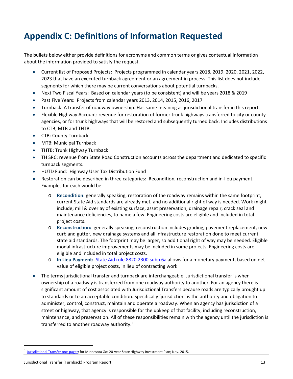# **Appendix C: Definitions of Information Requested**

The bullets below either provide definitions for acronyms and common terms or gives contextual information about the information provided to satisfy the request.

- Current list of Proposed Projects: Projects programmed in calendar years 2018, 2019, 2020, 2021, 2022, 2023 that have an executed turnback agreement or an agreement in process. This list does not include segments for which there may be current conversations about potential turnbacks.
- Next Two Fiscal Years: Based on calendar years (to be consistent) and will be years 2018 & 2019
- Past Five Years: Projects from calendar years 2013, 2014, 2015, 2016, 2017
- Turnback: A transfer of roadway ownership. Has same meaning as jurisdictional transfer in this report.
- Flexible Highway Account: revenue for restoration of former trunk highways transferred to city or county agencies, or for trunk highways that will be restored and subsequently turned back. Includes distributions to CTB, MTB and THTB.
- CTB: County Turnback
- MTB: Municipal Turnback
- THTB: Trunk Highway Turnback
- TH SRC: revenue from State Road Construction accounts across the department and dedicated to specific turnback segments.
- HUTD Fund: Highway User Tax Distribution Fund
- Restoration can be described in three categories: Recondition, reconstruction and in-lieu payment. Examples for each would be:
	- o **Recondition:** generally speaking, restoration of the roadway remains within the same footprint, current State Aid standards are already met, and no additional right of way is needed. Work might include; mill & overlay of existing surface, asset preservation, drainage repair, crack seal and maintenance deficiencies, to name a few. Engineering costs are eligible and included in total project costs.
	- o **Reconstruction:** generally speaking, reconstruction includes grading, pavement replacement, new curb and gutter, new drainage systems and all infrastructure restoration done to meet current state aid standards. The footprint may be larger, so additional right of way may be needed. Eligible modal infrastructure improvements may be included in some projects. Engineering costs are eligible and included in total project costs.
	- o **In Lieu Payment:** [State Aid rule 8820.2300 subp 6a](https://www.revisor.mn.gov/rules?id=8820.2300&keyword_type=all&keyword=8820.2300) allows for a monetary payment, based on net value of eligible project costs, in lieu of contracting work
- The terms jurisdictional transfer and turnback are interchangeable. Jurisdictional transfer is when ownership of a roadway is transferred from one roadway authority to another. For an agency there is significant amount of cost associated with Jurisdictional Transfers because roads are typically brought up to standards or to an acceptable condition. Specifically 'jurisdiction' is the authority and obligation to administer, control, construct, maintain and operate a roadway. When an agency has jurisdiction of a street or highway, that agency is responsible for the upkeep of that facility, including reconstruction, maintenance, and preservation. All of these responsibilities remain with the agency until the jurisdiction is transferred to another roadway authority.<sup>[1](#page-12-0)</sup>

<span id="page-12-0"></span><sup>&</sup>lt;sup>1</sup> [Jurisdictional Transfer one-pager;](http://minnesotago.org/application/files/2114/7248/2192/Jurisdictional_Transfer_2017.pdf) for Minnesota Go: 20-year State Highway Investment Plan; Nov. 2015.